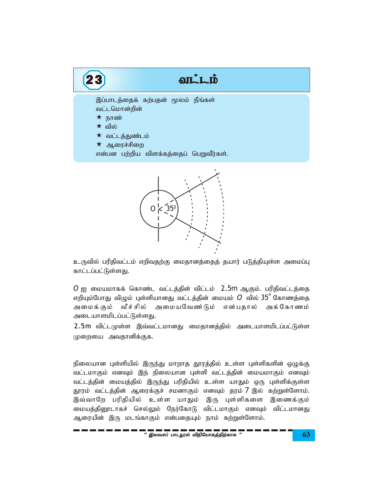



 $\Omega$ 

 $O$  ஐ மையமாகக் கொண்ட வட்டத்தின் விட்டம் 2.5m ஆகும். பரிதிவட்டத்தை எறியும்போது விழும் புள்ளியானது வட்டத்தின் மையம்  $O$  வில்  $35^{\circ}$  கோணத்தை அமைக்கும் வீச்சில் அமையவேண்டும் என்பதால் அக்கோணம் அடையாளமிடப்பட்டுள்ளது.

2.5m விட்டமுள்ள இவ்வட்டமானது மைதானத்தில் அடையாளமிடப்பட்டுள்ள முறையை அவதானிக்குக.

நிலையான புள்ளியில் இருந்து மாறாத தூரத்தில் உள்ள புள்ளிகளின் ஒழுக்கு வட்டமாகும் எனவும் இந் நிலையான புள்ளி வட்டத்தின் மையமாகும் எனவும் வட்டத்தின் மையத்தில் இருந்து பரிதியில் உள்ள யாதும் ஒரு புள்ளிக்குள்ள தூரம் வட்டத்தின் ஆரைக்குச் சமனாகும் எனவும் தரம் 7 இல் கற்றுள்ளோம். இவ்வாறே பரிதியில் உள்ள யாதும் இரு புள்ளிகளை இணைக்கும் மையத்தினூடாகச் செல்லும் நேர்கோடு விட்டமாகும் எனவும் விட்டமானது ஆரையின் இரு மடங்காகும் என்பதையும் நாம் கற்றுள்ளோம்.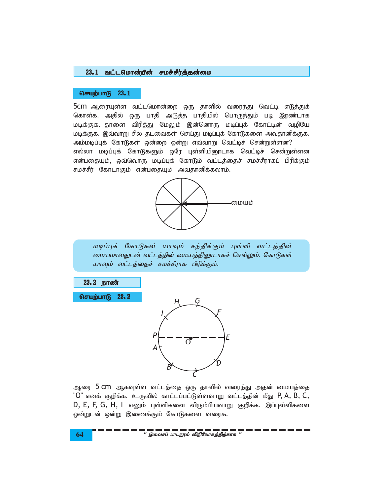## 23.1 வட்டமொன்றின் சமச்சீர்த்தன்மை

## செயற்பாடு 23.1

5cm ஆரையுள்ள வட்டமொன்றை ஒரு தாளில் வரைந்து வெட்டி எடுத்துக் கொள்க. அதில் ஒரு பாதி அடுத்த பாதியில் பொருந்தும் படி இரண்டாக மடிக்குக. தாளை விரித்து மேலும் இன்னொரு மடிப்புக் கோட்டின் வழியே மடிக்குக. இவ்வாறு சில தடவைகள் செய்து மடிப்புக் கோடுகளை அவதானிக்குக. அம்மடிப்புக் கோடுகள் ஒன்றை ஒன்று எவ்வாறு வெட்டிச் சென்றுள்ளன? எல்லா மடிப்புக் கோடுகளும் ஒரே புள்ளியினூடாக வெட்டிச் சென்றுள்ளன என்பதையும், ஒவ்வொரு மடிப்புக் கோடும் வட்டத்தைச் சமச்சீராகப் பிரிக்கும் சமச்சீர் கோடாகும் என்பதையும் அவதானிக்கலாம்.



மடிப்புக் கோடுகள் யாவும் சந்திக்கும் புள்ளி வட்டத்தின் மையமாவதுடன் வட்டத்தின் மையத்தினூடாகச் செல்லும். கோடுகள் யாவும் வட்டத்தைச் சமச்சீராக பிரிக்கும்.

23.2 நாண்

செயற்பாடு 23.2



ஆரை 5 cm ஆகவுள்ள வட்டத்தை ஒரு தாளில் வரைந்து அதன் மையத்தை "O" எனக் குறிக்க. உருவில் காட்டப்பட்டுள்ளவாறு வட்டத்தின் மீது  $P$ , A, B, C,  $D, E, F, G, H, I$  எனும் புள்ளிகளை விரும்பியவாறு குறிக்க. இப்புள்ளிகளை ஒன்றுடன் ஒன்று இணைக்கும் கோடுகளை வரைக.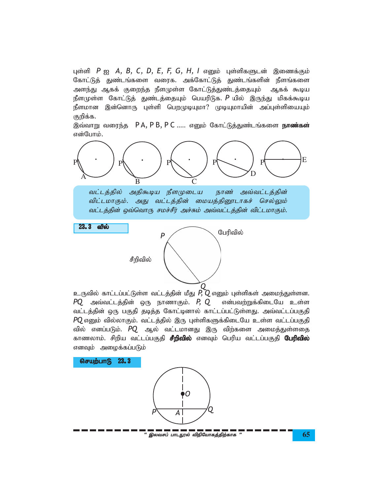புள்ளி  $P$  ஐ  $A$ ,  $B$ ,  $C$ ,  $D$ ,  $E$ ,  $F$ ,  $G$ ,  $H$ ,  $I$  எனும் புள்ளிகளுடன் இணைக்கும் கோட்டுத் துண்டங்களை வரைக. அக்கோட்டுத் துண்டங்களின் நீளங்களை அளந்து ஆகக் குறைந்த நீளமுள்ள கோட்டுத்துண்டத்தையும் ஆகக் கூடிய நீளமுள்ள கோட்டுத் துண்டத்தையும் பெயரிடுக. P யில் இருந்து மிகக்கூடிய நீளமான இன்னொரு புள்ளி பெறமுடியுமா? முடியுமாயின் அப்புள்ளியையும் குறிக்க.

இவ்வாறு வரைந்த PA, PB, PC ..... எனும் கோட்டுத்துண்டங்களை **நாண்கள்** என்போம்.



வட்டத்தில் அதிகூடிய நீளமுடைய நாண் அவ்வட்டத்தின் விட்டமாகும். அது வட்டத்தின் மையத்தினூடாகச் செல்லும் வட்டத்தின் ஒவ்வொரு சமச்சீர் அச்சும் அவ்வட்டத்தின் விட்டமாகும்.

 $23.3$  வில்

சீறிவில்



உருவில் காட்டப்பட்டுள்ள வட்டத்தின் மீது  $P, Q$  எனும் புள்ளிகள் அமைந்துள்ளன.  $PQ$  அவ்வட்டத்தின் ஒரு நாணாகும்.  $P$ ,  $Q$ என்பவற்றுக்கிடையே உள்ள வட்டத்தின் ஒரு பகுதி தடித்த கோட்டினால் காட்டப்பட்டுள்ளது. அவ்வட்டப்பகுதி  $PQ$  எனும் வில்லாகும். வட்டத்தில் இரு புள்ளிகளுக்கிடையே உள்ள வட்டப்பகுதி வில் எனப்படும். *PQ* ஆல் வட்டமானது இரு விற்களை அமைத்துள்ளதை காணலாம். சிறிய வட்டப்பகுதி **சீறிவில்** எனவும் பெரிய வட்டப்பகுதி **பேரிவில்** எனவும் அழைக்கப்படும்

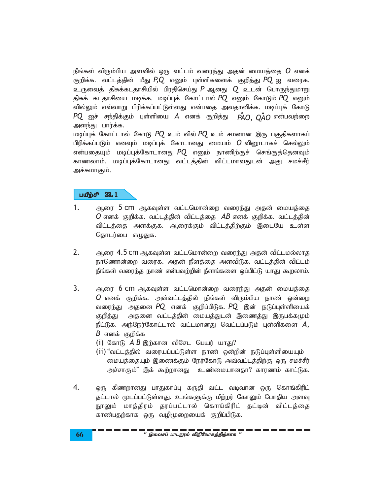நீங்கள் விரும்பிய அளவில் ஒரு வட்டம் வரைந்து அதன் மையத்தை  $\bm{O}$  எனக் குறிக்க. வட்டத்தின் மீது  $P\mathbf{Q}$  எனும் புள்ளிகளைக் குறித்து  $P\mathbf{Q}$  ஐ வரைக. உருவைத் திசுக்கடதாசியில் பிரதிசெய்து  $P$  ஆனது  $Q$  உடன் பொருந்துமாறு திசுக் கடதாசியை மடிக்க. மடிப்புக் கோட்டால்  $PQ$  எனும் கோடும்  $PQ$  எனும் வில்லும் எவ்வாறு பிரிக்கப்பட்டுள்ளது என்பதை அவதானிக்க. மடிப்புக் கோடு  $PQ$  ஐச் சந்திக்கும் புள்ளியை  $A$  எனக் குறித்து  $\hat{PAO}$ .  $\hat{OAO}$  என்பவற்றை அளந்து பார்க்க.

மடிப்புக் கோட்டால் கோடு PQ உம் வில் PQ உம் சமனான இரு பகுதிகளாகப் பிரிக்கப்படும் எனவும் மடிப்புக் கோடானது மையம்  ${\bm O}$  விரைடாகச் செல்லும் என்பதையும் மடிப்புக்கோடானது PQ எனும் நாணிற்குச் செங்குத்தெனவும் காணலாம். மடிப்புக்கோடானது வட்டத்தின் விட்டமாவதுடன் அது சமச்சீர் அச்சுமாகும்.

### பயீற்சி  $23.1$

- $1.$ ஆரை 5 cm ஆகவுள்ள வட்டமொன்றை வரைந்து அதன் மையத்தை  $O$  எனக் குறிக்க. வட்டத்தின் விட்டத்தை  $AB$  எனக் குறிக்க. வட்டத்தின் விட்டத்தை அளக்குக. ஆரைக்கும் விட்டத்திற்கும் இடையே உள்ள தொடர்பை எழுதுக.
- $2.$ ஆரை 4.5 cm ஆகவுள்ள வட்டமொன்றை வரைந்து அதன் விட்டமல்லாத நாணொன்றை வரைக. அதன் நீளத்தை அளவிடுக. வட்டத்தின் விட்டம் நீங்கள் வரைந்த நாண் என்பவற்றின் நீளங்களை ஒப்பிட்டு யாது கூறலாம்.
- $3.$ ஆரை 6 CM ஆகவுள்ள வட்டமொன்றை வரைந்து அதன் மையத்தை  $O$  எனக் குறிக்க. அவ்வட்டத்தில் நீங்கள் விரும்பிய நாண் ஒன்றை வரைந்து அதனை PQ எனக் குறிப்பிடுக. PQ இன் நடுப்புள்ளியைக் அதனை வட்டத்தின் மையத்துடன் இணைத்து இருபக்கமும் குறித்து நீட்டுக. அந்நேர்கோட்டால் வட்டமானது வெட்டப்படும் புள்ளிகளை  $A,$  $B$  எனக் குறிக்க
	- (i) கோடு  $\overline{AB}$  இற்கான விசேட பெயர் யாது?
	- (ii) "வட்டத்தில் வரையப்பட்டுள்ள நாண் ஒன்றின் நடுப்புள்ளியையும் மையத்தையும் இணைக்கும் நேர்கோடு அவ்வட்டத்திற்கு ஒரு சமச்சீர் அச்சாகும்" இக் கூற்றானது உண்மையானதா? காரணம் காட்டுக.
- 4. ஒரு கிணறானது பாதுகாப்பு கருதி வட்ட வடிவான ஒரு கொங்கிரிட் தட்டால் மூடப்பட்டுள்ளது. உங்களுக்கு மீற்றர் கோலும் போதிய அளவு நூலும் மாத்திரம் தரப்பட்டால் கொங்கிரிட் தட்டின் விட்டத்தை காண்பதற்காக ஒரு வழிமுறையைக் குறிப்பிடுக.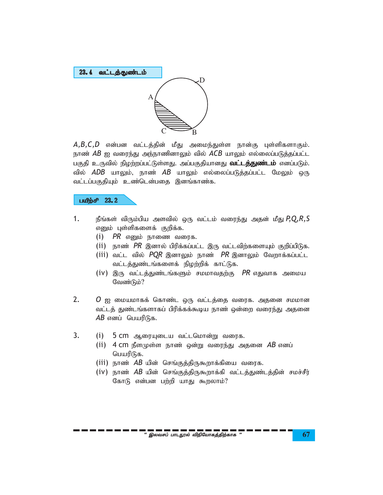

 $A, B, C, D$  என்பன வட்டத்தின் மீது அமைந்துள்ள நான்கு புள்ளிகளாகும். நாண் *AB* ஐ வரைந்து அந்நாணினாலும் வில் *ACB* யாலும் எல்லைப்படுத்தப்பட்ட பகுதி உருவில் நிழற்றப்பட்டுள்ளது. அப்பகுதியானது **வட்டத்துண்டம்** எனப்படும். வில் *ADB* யாலும், நாண் *AB* யாலும் எல்லைப்படுத்தப்பட்ட மேலும் ஒரு வட்டப்பகுதியும் உண்டென்பதை இனங்காண்க.

# $L^2$

- 1. நீங்கள் விரும்பிய அளவில் ஒரு வட்டம் வரைந்து அதன் மீது P,Q,R,S எனும் புள்ளிகளைக் குறிக்க.
	- $(i)$  *PR* எனும் நாணை வரைக.
	- (ii) நாண் PR இனால் பிரிக்கப்பட்ட இரு வட்டவிற்களையும் குறிப்பிடுக.
	- $(iii)$  வட்ட வில்  $PQR$  இனாலும் நாண்  $PR$  இனாலும் வேறாக்கப்பட்ட வட்டத்துண்டங்களைக் நிழற்றிக் காட்டுக.
	- (iv) இரு வட்டத்துண்டங்களும் சமமாவதற்கு *PR* எதுவாக அமைய வேண்டும்?
- 2.  $O$  ஐ மையமாகக் கொண்ட ஒரு வட்டத்தை வரைக. அதனை சமமான வட்டத் துண்டங்களாகப் பிரிக்கக்கூடிய நாண் ஒன்றை வரைந்து அதனை *AB* எனப் பெயரிடுக.
- 3. (i) 5 cm ஆரையுடைய வட்டமொன்று வரைக.
	- $(i)$  4 cm நீளமுள்ள நாண் ஒன்று வரைந்து அதனை AB எனப் பெயரிடுக.
	- (iii) நாண் *AB* யின் செங்குத்திருகூறாக்கியை வரைக.
	- (iv) நாண் *AB* யின் செங்குத்திருகூறாக்கி வட்டத்துண்டத்தின் சமச்சீர் கோடு என்பன பற்றி யாது கூறலாம்?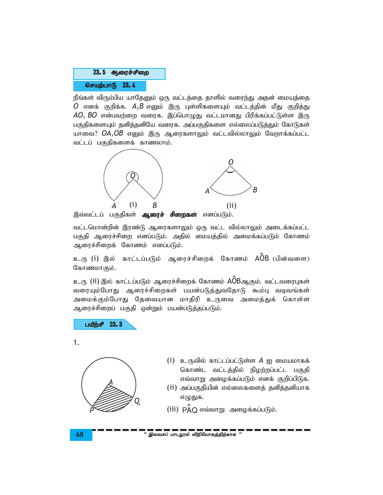

நீங்கள் விரும்பிய யாதேனும் ஒரு வட்டத்தை தாளில் வரைந்து அதன் மையத்தை  $O$  எனக் குறிக்க.  $A,B$  எனும் இரு புள்ளிகளையும் வட்டத்தின் மீது குறித்து  $AO, BO$  என்பவற்றை வரைக. இப்பொழுது வட்டமானது பிரிக்கப்பட்டுள்ள இரு பகுதிகளையும் தனித்தனியே வரைக. அப்பகுதிகளை எல்லைப்படுத்தும் கோடுகள் யாவை? OA,OB எனும் இரு ஆரைகளாலும் வட்டவில்லாலும் வேறாக்கப்பட்ட வட்டப் பகுதிகளைக் காணலாம்.



இவ்வட்டப் பகுதிகள் **ஆரைச் சிறைகள்** எனப்படும்.

வட்டமொன்றின் இரண்டு ஆரைகளாலும் ஒரு வட்ட வில்லாலும் அடைக்கப்பட்ட பகுதி ஆரைச்சிறை எனப்படும். அதில் மையத்தில் அமைக்கப்படும் கோணம் ஆரைச்சிறைக் கோணம் எனப்படும்.

உரு (i) இல் காட்டப்படும் ஆரைச்சிறைக் கோணம் AÔB (பின்வளை) கோணமாகும்.

உரு (ii) இல் காட்டப்படும் ஆரைச்சிறைக் கோணம் AOBஆகும். வட்டவரைபுகள் வரையும்போது ஆரைச்சிறைகள் பயன்படுத்துவதோடு கூம்பு வடிவங்கள் அமைக்கும்போது தேவையான மாதிரி உருவை அமைத்துக் கொள்ள ஆரைச்சிறைப் பகுதி ஒன்றும் பயன்படுத்தப்படும்.



 $1.$ 



- (i) உருவில் காட்டப்பட்டுள்ள  $A$  ஐ மையமாகக் கொண்ட வட்டத்தில் நிழற்றப்பட்ட பகுதி எவ்வாறு அழைக்கப்படும் எனக் குறிப்பிடுக.
- (ii) அப்பகுதியின் எல்லைகளைத் தனித்தனியாக எழுதுக.
- (iii)  $\overrightarrow{PA}$ Q எவ்வாறு அழைக்கப்படும்.